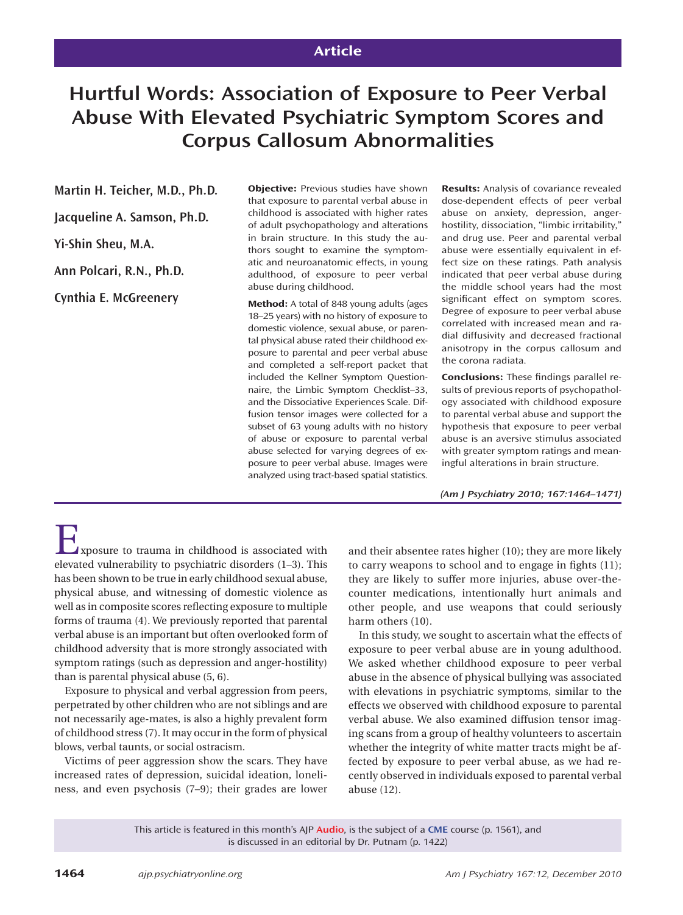# **Article**

# **Hurtful Words: Association of Exposure to Peer Verbal Abuse With Elevated Psychiatric Symptom Scores and Corpus Callosum Abnormalities**

## **Martin H. Teicher, M.D., Ph.D.**

**Jacqueline A. Samson, Ph.D.**

**Yi-Shin Sheu, M.A.**

**Ann Polcari, R.N., Ph.D.**

**Cynthia E. McGreenery**

**Objective:** Previous studies have shown that exposure to parental verbal abuse in childhood is associated with higher rates of adult psychopathology and alterations in brain structure. In this study the authors sought to examine the symptomatic and neuroanatomic effects, in young adulthood, of exposure to peer verbal abuse during childhood.

**Method:** A total of 848 young adults (ages 18–25 years) with no history of exposure to domestic violence, sexual abuse, or parental physical abuse rated their childhood exposure to parental and peer verbal abuse and completed a self-report packet that included the Kellner Symptom Questionnaire, the Limbic Symptom Checklist–33, and the Dissociative Experiences Scale. Diffusion tensor images were collected for a subset of 63 young adults with no history of abuse or exposure to parental verbal abuse selected for varying degrees of exposure to peer verbal abuse. Images were analyzed using tract-based spatial statistics.

**Results:** Analysis of covariance revealed dose-dependent effects of peer verbal abuse on anxiety, depression, angerhostility, dissociation, "limbic irritability," and drug use. Peer and parental verbal abuse were essentially equivalent in effect size on these ratings. Path analysis indicated that peer verbal abuse during the middle school years had the most significant effect on symptom scores. Degree of exposure to peer verbal abuse correlated with increased mean and radial diffusivity and decreased fractional anisotropy in the corpus callosum and the corona radiata.

**Conclusions:** These findings parallel results of previous reports of psychopathology associated with childhood exposure to parental verbal abuse and support the hypothesis that exposure to peer verbal abuse is an aversive stimulus associated with greater symptom ratings and meaningful alterations in brain structure.

*(Am J Psychiatry 2010; 167:1464–1471)*

Exposure to trauma in childhood is associated with elevated vulnerability to psychiatric disorders (1–3). This has been shown to be true in early childhood sexual abuse, physical abuse, and witnessing of domestic violence as well as in composite scores reflecting exposure to multiple forms of trauma (4). We previously reported that parental verbal abuse is an important but often overlooked form of childhood adversity that is more strongly associated with symptom ratings (such as depression and anger-hostility) than is parental physical abuse (5, 6).

Exposure to physical and verbal aggression from peers, perpetrated by other children who are not siblings and are not necessarily age-mates, is also a highly prevalent form of childhood stress (7). It may occur in the form of physical blows, verbal taunts, or social ostracism.

Victims of peer aggression show the scars. They have increased rates of depression, suicidal ideation, loneliness, and even psychosis (7–9); their grades are lower and their absentee rates higher (10); they are more likely to carry weapons to school and to engage in fights  $(11)$ ; they are likely to suffer more injuries, abuse over-thecounter medications, intentionally hurt animals and other people, and use weapons that could seriously harm others (10).

In this study, we sought to ascertain what the effects of exposure to peer verbal abuse are in young adulthood. We asked whether childhood exposure to peer verbal abuse in the absence of physical bullying was associated with elevations in psychiatric symptoms, similar to the effects we observed with childhood exposure to parental verbal abuse. We also examined diffusion tensor imaging scans from a group of healthy volunteers to ascertain whether the integrity of white matter tracts might be affected by exposure to peer verbal abuse, as we had recently observed in individuals exposed to parental verbal abuse (12).

This article is featured in this month's AJP **Audio**, is the subject of a **CME** course (p. 1561), and is discussed in an editorial by Dr. Putnam (p. 1422)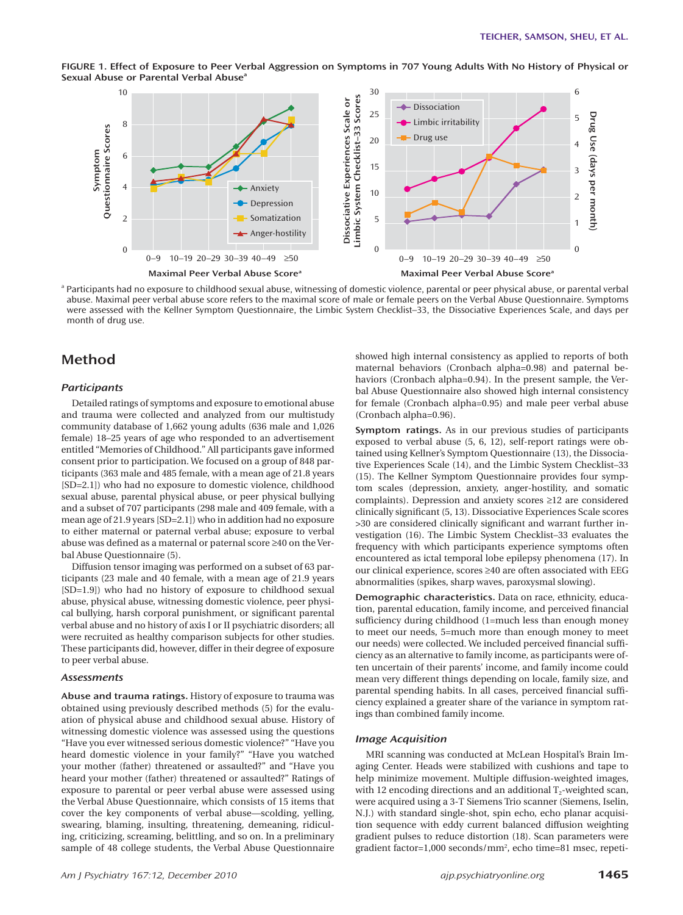

**FIGURE 1. Effect of Exposure to Peer Verbal Aggression on Symptoms in 707 Young Adults With No History of Physical or Sexual Abuse or Parental Verbal Abuse**<sup>a</sup>

<sup>a</sup> Participants had no exposure to childhood sexual abuse, witnessing of domestic violence, parental or peer physical abuse, or parental verbal abuse. Maximal peer verbal abuse score refers to the maximal score of male or female peers on the Verbal Abuse Questionnaire. Symptoms were assessed with the Kellner Symptom Questionnaire, the Limbic System Checklist–33, the Dissociative Experiences Scale, and days per month of drug use.

# **Method**

#### *Participants*

Detailed ratings of symptoms and exposure to emotional abuse and trauma were collected and analyzed from our multistudy community database of 1,662 young adults (636 male and 1,026 female) 18–25 years of age who responded to an advertisement entitled "Memories of Childhood." All participants gave informed consent prior to participation. We focused on a group of 848 participants (363 male and 485 female, with a mean age of 21.8 years [SD=2.1]) who had no exposure to domestic violence, childhood sexual abuse, parental physical abuse, or peer physical bullying and a subset of 707 participants (298 male and 409 female, with a mean age of 21.9 years [SD=2.1]) who in addition had no exposure to either maternal or paternal verbal abuse; exposure to verbal abuse was defined as a maternal or paternal score  $\geq\!\!40$  on the Verbal Abuse Questionnaire (5).

Diffusion tensor imaging was performed on a subset of 63 participants (23 male and 40 female, with a mean age of 21.9 years [SD=1.9]) who had no history of exposure to childhood sexual abuse, physical abuse, witnessing domestic violence, peer physical bullying, harsh corporal punishment, or significant parental verbal abuse and no history of axis I or II psychiatric disorders; all were recruited as healthy comparison subjects for other studies. These participants did, however, differ in their degree of exposure to peer verbal abuse.

#### *Assessments*

**Abuse and trauma ratings.** History of exposure to trauma was obtained using previously described methods (5) for the evaluation of physical abuse and childhood sexual abuse. History of witnessing domestic violence was assessed using the questions "Have you ever witnessed serious domestic violence?" "Have you heard domestic violence in your family?" "Have you watched your mother (father) threatened or assaulted?" and "Have you heard your mother (father) threatened or assaulted?" Ratings of exposure to parental or peer verbal abuse were assessed using the Verbal Abuse Questionnaire, which consists of 15 items that cover the key components of verbal abuse—scolding, yelling, swearing, blaming, insulting, threatening, demeaning, ridiculing, criticizing, screaming, belittling, and so on. In a preliminary sample of 48 college students, the Verbal Abuse Questionnaire

showed high internal consistency as applied to reports of both maternal behaviors (Cronbach alpha=0.98) and paternal behaviors (Cronbach alpha=0.94). In the present sample, the Verbal Abuse Questionnaire also showed high internal consistency for female (Cronbach alpha=0.95) and male peer verbal abuse (Cronbach alpha=0.96).

**Symptom ratings.** As in our previous studies of participants exposed to verbal abuse (5, 6, 12), self-report ratings were obtained using Kellner's Symptom Questionnaire (13), the Dissociative Experiences Scale (14), and the Limbic System Checklist–33 (15). The Kellner Symptom Questionnaire provides four symptom scales (depression, anxiety, anger-hostility, and somatic complaints). Depression and anxiety scores ≥12 are considered clinically significant (5, 13). Dissociative Experiences Scale scores >30 are considered clinically significant and warrant further investigation (16). The Limbic System Checklist–33 evaluates the frequency with which participants experience symptoms often encountered as ictal temporal lobe epilepsy phenomena (17). In our clinical experience, scores ≥40 are often associated with EEG abnormalities (spikes, sharp waves, paroxysmal slowing).

**Demographic characteristics.** Data on race, ethnicity, education, parental education, family income, and perceived financial sufficiency during childhood (1=much less than enough money to meet our needs, 5=much more than enough money to meet our needs) were collected. We included perceived financial sufficiency as an alternative to family income, as participants were often uncertain of their parents' income, and family income could mean very different things depending on locale, family size, and parental spending habits. In all cases, perceived financial sufficiency explained a greater share of the variance in symptom ratings than combined family income.

#### *Image Acquisition*

MRI scanning was conducted at McLean Hospital's Brain Imaging Center. Heads were stabilized with cushions and tape to help minimize movement. Multiple diffusion-weighted images, with 12 encoding directions and an additional  $T_2$ -weighted scan, were acquired using a 3-T Siemens Trio scanner (Siemens, Iselin, N.J.) with standard single-shot, spin echo, echo planar acquisition sequence with eddy current balanced diffusion weighting gradient pulses to reduce distortion (18). Scan parameters were gradient factor=1,000 seconds/mm2 , echo time=81 msec, repeti-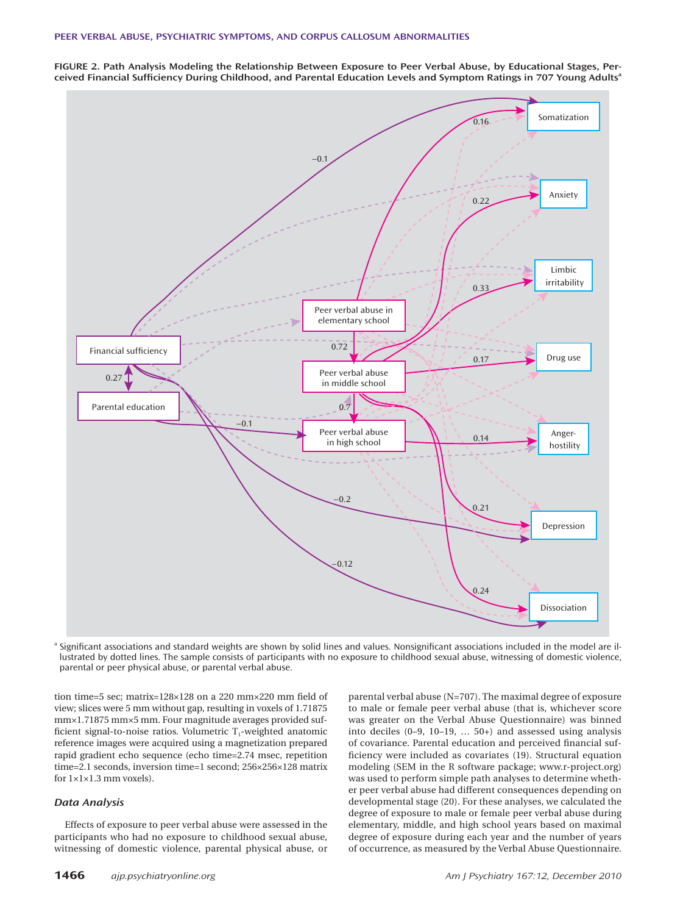**FIGURE 2. Path Analysis Modeling the Relationship Between Exposure to Peer Verbal Abuse, by Educational Stages, Perceived Financial Suffi ciency During Childhood, and Parental Education Levels and Symptom Ratings in 707 Young Adults<sup>a</sup>**



<sup>a</sup> Significant associations and standard weights are shown by solid lines and values. Nonsignificant associations included in the model are illustrated by dotted lines. The sample consists of participants with no exposure to childhood sexual abuse, witnessing of domestic violence, parental or peer physical abuse, or parental verbal abuse.

tion time=5 sec; matrix= $128\times128$  on a 220 mm $\times$ 220 mm field of view; slices were 5 mm without gap, resulting in voxels of 1.71875 mm×1.71875 mm×5 mm. Four magnitude averages provided sufficient signal-to-noise ratios. Volumetric  $T_1$ -weighted anatomic reference images were acquired using a magnetization prepared rapid gradient echo sequence (echo time=2.74 msec, repetition time=2.1 seconds, inversion time=1 second; 256×256×128 matrix for 1×1×1.3 mm voxels).

## *Data Analysis*

Effects of exposure to peer verbal abuse were assessed in the participants who had no exposure to childhood sexual abuse, witnessing of domestic violence, parental physical abuse, or

parental verbal abuse (N=707). The maximal degree of exposure to male or female peer verbal abuse (that is, whichever score was greater on the Verbal Abuse Questionnaire) was binned into deciles (0–9, 10–19, … 50+) and assessed using analysis of covariance. Parental education and perceived financial sufficiency were included as covariates (19). Structural equation modeling (SEM in the R software package; www.r-project.org) was used to perform simple path analyses to determine whether peer verbal abuse had different consequences depending on developmental stage (20). For these analyses, we calculated the degree of exposure to male or female peer verbal abuse during elementary, middle, and high school years based on maximal degree of exposure during each year and the number of years of occurrence, as measured by the Verbal Abuse Questionnaire.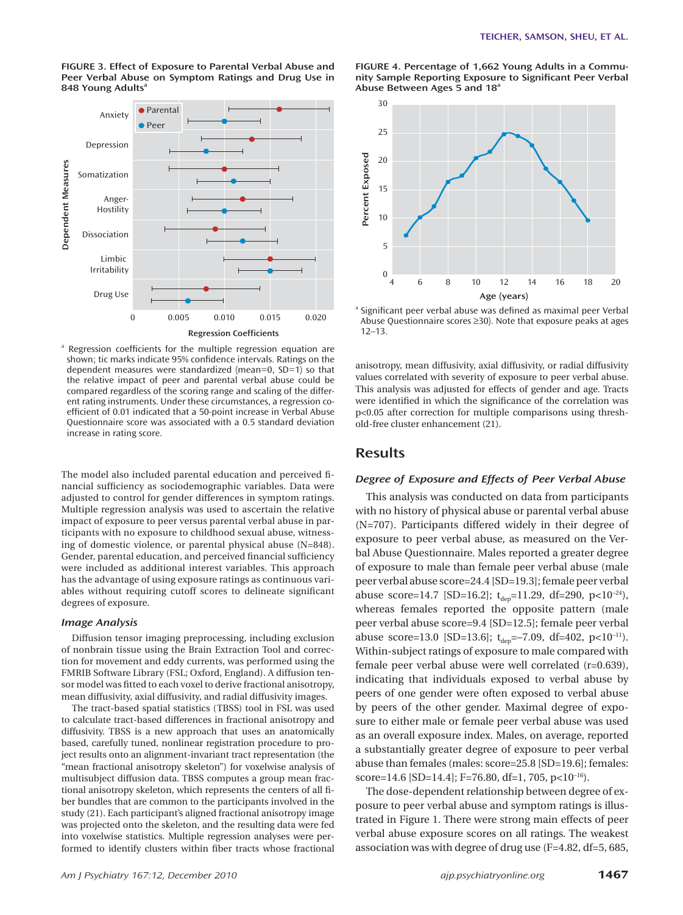

**FIGURE 3. Effect of Exposure to Parental Verbal Abuse and Peer Verbal Abuse on Symptom Ratings and Drug Use in**  848 Young Adults<sup>a</sup>

<sup>a</sup> Regression coefficients for the multiple regression equation are shown; tic marks indicate 95% confidence intervals. Ratings on the dependent measures were standardized (mean=0, SD=1) so that the relative impact of peer and parental verbal abuse could be compared regardless of the scoring range and scaling of the different rating instruments. Under these circumstances, a regression coefficient of 0.01 indicated that a 50-point increase in Verbal Abuse Questionnaire score was associated with a 0.5 standard deviation increase in rating score.

The model also included parental education and perceived financial sufficiency as sociodemographic variables. Data were adjusted to control for gender differences in symptom ratings. Multiple regression analysis was used to ascertain the relative impact of exposure to peer versus parental verbal abuse in participants with no exposure to childhood sexual abuse, witnessing of domestic violence, or parental physical abuse (N=848). Gender, parental education, and perceived financial sufficiency were included as additional interest variables. This approach has the advantage of using exposure ratings as continuous variables without requiring cutoff scores to delineate significant degrees of exposure.

#### *Image Analysis*

Diffusion tensor imaging preprocessing, including exclusion of nonbrain tissue using the Brain Extraction Tool and correction for movement and eddy currents, was performed using the FMRIB Software Library (FSL; Oxford, England). A diffusion tensor model was fitted to each voxel to derive fractional anisotropy, mean diffusivity, axial diffusivity, and radial diffusivity images.

The tract-based spatial statistics (TBSS) tool in FSL was used to calculate tract-based differences in fractional anisotropy and diffusivity. TBSS is a new approach that uses an anatomically based, carefully tuned, nonlinear registration procedure to project results onto an alignment-invariant tract representation (the "mean fractional anisotropy skeleton") for voxelwise analysis of multisubject diffusion data. TBSS computes a group mean fractional anisotropy skeleton, which represents the centers of all fiber bundles that are common to the participants involved in the study (21). Each participant's aligned fractional anisotropy image was projected onto the skeleton, and the resulting data were fed into voxelwise statistics. Multiple regression analyses were performed to identify clusters within fiber tracts whose fractional

**FIGURE 4. Percentage of 1,662 Young Adults in a Commu**nity Sample Reporting Exposure to Significant Peer Verbal **Abuse Between Ages 5 and 18a**



<sup>a</sup> Significant peer verbal abuse was defined as maximal peer Verbal Abuse Questionnaire scores ≥30). Note that exposure peaks at ages 12–13.

anisotropy, mean diffusivity, axial diffusivity, or radial diffusivity values correlated with severity of exposure to peer verbal abuse. This analysis was adjusted for effects of gender and age. Tracts were identified in which the significance of the correlation was p<0.05 after correction for multiple comparisons using threshold-free cluster enhancement (21).

## **Results**

#### *Degree of Exposure and Effects of Peer Verbal Abuse*

This analysis was conducted on data from participants with no history of physical abuse or parental verbal abuse (N=707). Participants differed widely in their degree of exposure to peer verbal abuse, as measured on the Verbal Abuse Questionnaire. Males reported a greater degree of exposure to male than female peer verbal abuse (male peer verbal abuse score=24.4 [SD=19.3]; female peer verbal abuse score=14.7 [SD=16.2];  $t_{dep}$ =11.29, df=290, p<10<sup>-24</sup>), whereas females reported the opposite pattern (male peer verbal abuse score=9.4 [SD=12.5]; female peer verbal abuse score=13.0 [SD=13.6];  $t_{dep}$ =-7.09, df=402, p<10<sup>-11</sup>). Within-subject ratings of exposure to male compared with female peer verbal abuse were well correlated (r=0.639), indicating that individuals exposed to verbal abuse by peers of one gender were often exposed to verbal abuse by peers of the other gender. Maximal degree of exposure to either male or female peer verbal abuse was used as an overall exposure index. Males, on average, reported a substantially greater degree of exposure to peer verbal abuse than females (males: score=25.8 [SD=19.6]; females: score=14.6 [SD=14.4]; F=76.80, df=1, 705, p<10<sup>-16</sup>).

The dose-dependent relationship between degree of exposure to peer verbal abuse and symptom ratings is illustrated in Figure 1. There were strong main effects of peer verbal abuse exposure scores on all ratings. The weakest association was with degree of drug use (F=4.82, df=5, 685,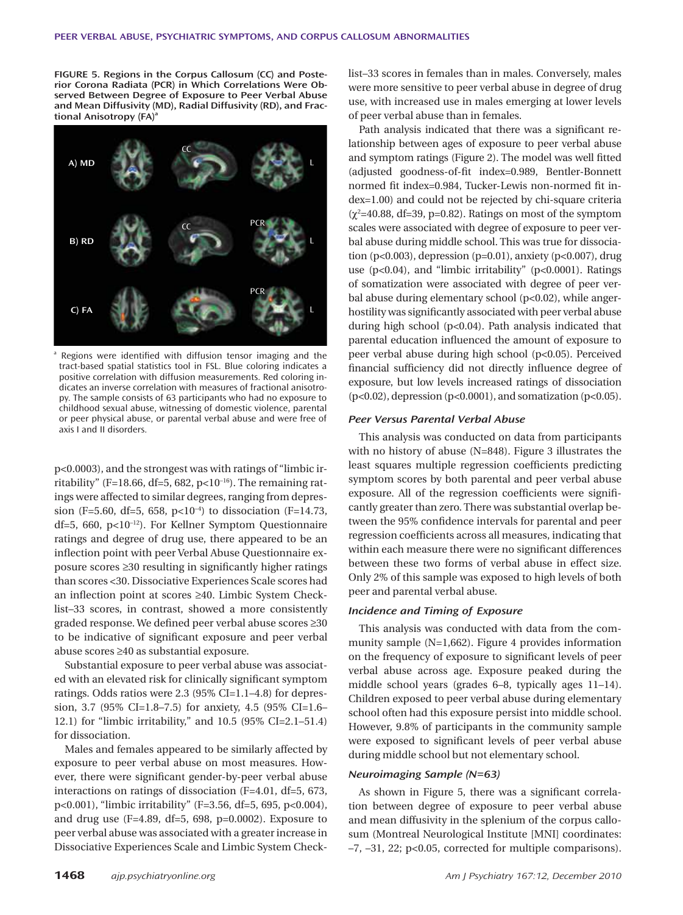**FIGURE 5. Regions in the Corpus Callosum (CC) and Posterior Corona Radiata (PCR) in Which Correlations Were Observed Between Degree of Exposure to Peer Verbal Abuse and Mean Diffusivity (MD), Radial Diffusivity (RD), and Fractional Anisotropy (FA)**<sup>a</sup>



a Regions were identified with diffusion tensor imaging and the tract-based spatial statistics tool in FSL. Blue coloring indicates a positive correlation with diffusion measurements. Red coloring indicates an inverse correlation with measures of fractional anisotropy. The sample consists of 63 participants who had no exposure to childhood sexual abuse, witnessing of domestic violence, parental or peer physical abuse, or parental verbal abuse and were free of axis I and II disorders.

p<0.0003), and the strongest was with ratings of "limbic irritability" (F=18.66, df=5, 682, p<10<sup>-16</sup>). The remaining ratings were affected to similar degrees, ranging from depression (F=5.60, df=5, 658,  $p<10^{-4}$ ) to dissociation (F=14.73, df=5, 660, p<10–12). For Kellner Symptom Questionnaire ratings and degree of drug use, there appeared to be an inflection point with peer Verbal Abuse Questionnaire exposure scores  $\geq$ 30 resulting in significantly higher ratings than scores <30. Dissociative Experiences Scale scores had an inflection point at scores ≥40. Limbic System Checklist–33 scores, in contrast, showed a more consistently graded response. We defined peer verbal abuse scores ≥30 to be indicative of significant exposure and peer verbal abuse scores ≥40 as substantial exposure.

Substantial exposure to peer verbal abuse was associated with an elevated risk for clinically significant symptom ratings. Odds ratios were 2.3 (95% CI=1.1–4.8) for depression, 3.7 (95% CI=1.8–7.5) for anxiety, 4.5 (95% CI=1.6– 12.1) for "limbic irritability," and 10.5 (95% CI=2.1–51.4) for dissociation.

Males and females appeared to be similarly affected by exposure to peer verbal abuse on most measures. However, there were significant gender-by-peer verbal abuse interactions on ratings of dissociation (F=4.01, df=5, 673, p<0.001), "limbic irritability" (F=3.56, df=5, 695, p<0.004), and drug use (F=4.89, df=5, 698, p=0.0002). Exposure to peer verbal abuse was associated with a greater increase in Dissociative Experiences Scale and Limbic System Checklist–33 scores in females than in males. Conversely, males were more sensitive to peer verbal abuse in degree of drug use, with increased use in males emerging at lower levels of peer verbal abuse than in females.

Path analysis indicated that there was a significant relationship between ages of exposure to peer verbal abuse and symptom ratings (Figure 2). The model was well fitted (adjusted goodness-of-fit index=0.989, Bentler-Bonnett normed fit index=0.984, Tucker-Lewis non-normed fit index=1.00) and could not be rejected by chi-square criteria  $(\chi^2=40.88, df=39, p=0.82)$ . Ratings on most of the symptom scales were associated with degree of exposure to peer verbal abuse during middle school. This was true for dissociation (p<0.003), depression (p=0.01), anxiety (p<0.007), drug use (p<0.04), and "limbic irritability" (p<0.0001). Ratings of somatization were associated with degree of peer verbal abuse during elementary school (p<0.02), while angerhostility was significantly associated with peer verbal abuse during high school (p<0.04). Path analysis indicated that parental education influenced the amount of exposure to peer verbal abuse during high school (p<0.05). Perceived financial sufficiency did not directly influence degree of exposure, but low levels increased ratings of dissociation (p<0.02), depression (p<0.0001), and somatization (p<0.05).

#### *Peer Versus Parental Verbal Abuse*

This analysis was conducted on data from participants with no history of abuse (N=848). Figure 3 illustrates the least squares multiple regression coefficients predicting symptom scores by both parental and peer verbal abuse exposure. All of the regression coefficients were significantly greater than zero. There was substantial overlap between the 95% confidence intervals for parental and peer regression coefficients across all measures, indicating that within each measure there were no significant differences between these two forms of verbal abuse in effect size. Only 2% of this sample was exposed to high levels of both peer and parental verbal abuse.

## *Incidence and Timing of Exposure*

This analysis was conducted with data from the community sample (N=1,662). Figure 4 provides information on the frequency of exposure to significant levels of peer verbal abuse across age. Exposure peaked during the middle school years (grades 6–8, typically ages 11–14). Children exposed to peer verbal abuse during elementary school often had this exposure persist into middle school. However, 9.8% of participants in the community sample were exposed to significant levels of peer verbal abuse during middle school but not elementary school.

## *Neuroimaging Sample (N=63)*

As shown in Figure 5, there was a significant correlation between degree of exposure to peer verbal abuse and mean diffusivity in the splenium of the corpus callosum (Montreal Neurological Institute [MNI] coordinates: –7, –31, 22; p<0.05, corrected for multiple comparisons).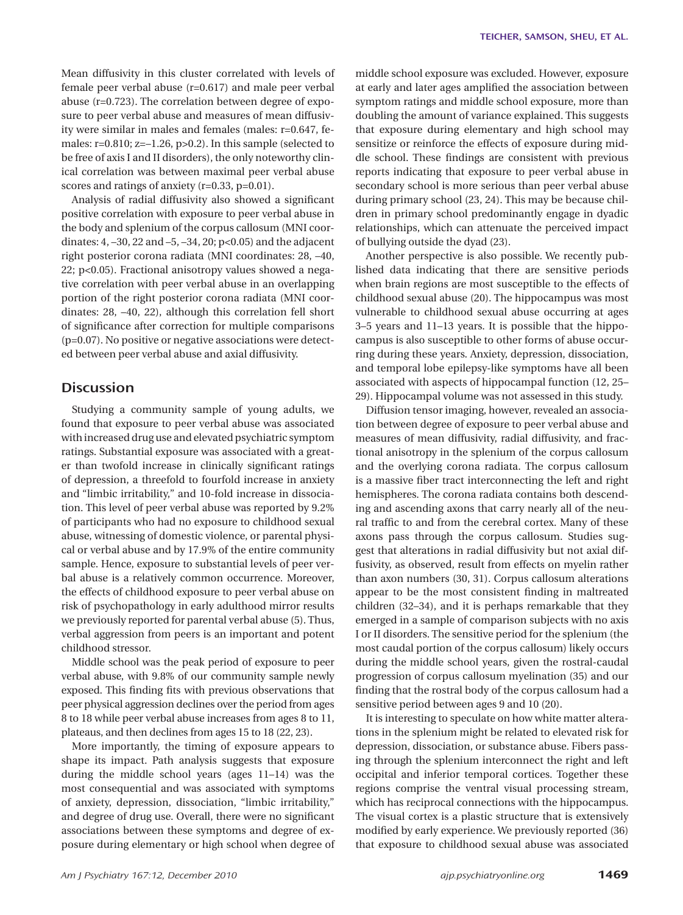Mean diffusivity in this cluster correlated with levels of female peer verbal abuse (r=0.617) and male peer verbal abuse (r=0.723). The correlation between degree of exposure to peer verbal abuse and measures of mean diffusivity were similar in males and females (males: r=0.647, females: r=0.810; z=-1.26, p>0.2). In this sample (selected to be free of axis I and II disorders), the only noteworthy clinical correlation was between maximal peer verbal abuse scores and ratings of anxiety (r=0.33, p=0.01).

Analysis of radial diffusivity also showed a significant positive correlation with exposure to peer verbal abuse in the body and splenium of the corpus callosum (MNI coordinates: 4, –30, 22 and –5, –34, 20; p<0.05) and the adjacent right posterior corona radiata (MNI coordinates: 28, –40, 22; p<0.05). Fractional anisotropy values showed a negative correlation with peer verbal abuse in an overlapping portion of the right posterior corona radiata (MNI coordinates: 28, –40, 22), although this correlation fell short of significance after correction for multiple comparisons (p=0.07). No positive or negative associations were detected between peer verbal abuse and axial diffusivity.

# **Discussion**

Studying a community sample of young adults, we found that exposure to peer verbal abuse was associated with increased drug use and elevated psychiatric symptom ratings. Substantial exposure was associated with a greater than twofold increase in clinically significant ratings of depression, a threefold to fourfold increase in anxiety and "limbic irritability," and 10-fold increase in dissociation. This level of peer verbal abuse was reported by 9.2% of participants who had no exposure to childhood sexual abuse, witnessing of domestic violence, or parental physical or verbal abuse and by 17.9% of the entire community sample. Hence, exposure to substantial levels of peer verbal abuse is a relatively common occurrence. Moreover, the effects of childhood exposure to peer verbal abuse on risk of psychopathology in early adulthood mirror results we previously reported for parental verbal abuse (5). Thus, verbal aggression from peers is an important and potent childhood stressor.

Middle school was the peak period of exposure to peer verbal abuse, with 9.8% of our community sample newly exposed. This finding fits with previous observations that peer physical aggression declines over the period from ages 8 to 18 while peer verbal abuse increases from ages 8 to 11, plateaus, and then declines from ages 15 to 18 (22, 23).

More importantly, the timing of exposure appears to shape its impact. Path analysis suggests that exposure during the middle school years (ages 11–14) was the most consequential and was associated with symptoms of anxiety, depression, dissociation, "limbic irritability," and degree of drug use. Overall, there were no significant associations between these symptoms and degree of exposure during elementary or high school when degree of middle school exposure was excluded. However, exposure at early and later ages amplified the association between symptom ratings and middle school exposure, more than doubling the amount of variance explained. This suggests that exposure during elementary and high school may sensitize or reinforce the effects of exposure during middle school. These findings are consistent with previous reports indicating that exposure to peer verbal abuse in secondary school is more serious than peer verbal abuse during primary school (23, 24). This may be because children in primary school predominantly engage in dyadic relationships, which can attenuate the perceived impact of bullying outside the dyad (23).

Another perspective is also possible. We recently published data indicating that there are sensitive periods when brain regions are most susceptible to the effects of childhood sexual abuse (20). The hippocampus was most vulnerable to childhood sexual abuse occurring at ages 3–5 years and 11–13 years. It is possible that the hippocampus is also susceptible to other forms of abuse occurring during these years. Anxiety, depression, dissociation, and temporal lobe epilepsy-like symptoms have all been associated with aspects of hippocampal function (12, 25– 29). Hippocampal volume was not assessed in this study.

Diffusion tensor imaging, however, revealed an association between degree of exposure to peer verbal abuse and measures of mean diffusivity, radial diffusivity, and fractional anisotropy in the splenium of the corpus callosum and the overlying corona radiata. The corpus callosum is a massive fiber tract interconnecting the left and right hemispheres. The corona radiata contains both descending and ascending axons that carry nearly all of the neural traffic to and from the cerebral cortex. Many of these axons pass through the corpus callosum. Studies suggest that alterations in radial diffusivity but not axial diffusivity, as observed, result from effects on myelin rather than axon numbers (30, 31). Corpus callosum alterations appear to be the most consistent finding in maltreated children (32–34), and it is perhaps remarkable that they emerged in a sample of comparison subjects with no axis I or II disorders. The sensitive period for the splenium (the most caudal portion of the corpus callosum) likely occurs during the middle school years, given the rostral-caudal progression of corpus callosum myelination (35) and our finding that the rostral body of the corpus callosum had a sensitive period between ages 9 and 10 (20).

It is interesting to speculate on how white matter alterations in the splenium might be related to elevated risk for depression, dissociation, or substance abuse. Fibers passing through the splenium interconnect the right and left occipital and inferior temporal cortices. Together these regions comprise the ventral visual processing stream, which has reciprocal connections with the hippocampus. The visual cortex is a plastic structure that is extensively modified by early experience. We previously reported (36) that exposure to childhood sexual abuse was associated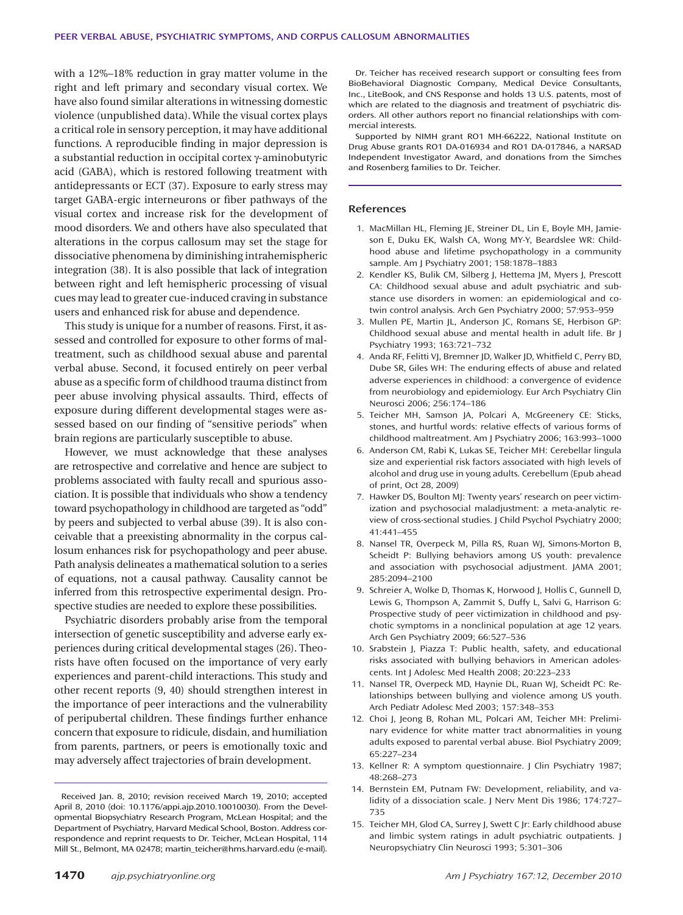with a 12%–18% reduction in gray matter volume in the right and left primary and secondary visual cortex. We have also found similar alterations in witnessing domestic violence (unpublished data). While the visual cortex plays a critical role in sensory perception, it may have additional functions. A reproducible finding in major depression is a substantial reduction in occipital cortex γ-aminobutyric acid (GABA), which is restored following treatment with antidepressants or ECT (37). Exposure to early stress may target GABA-ergic interneurons or fiber pathways of the visual cortex and increase risk for the development of mood disorders. We and others have also speculated that alterations in the corpus callosum may set the stage for dissociative phenomena by diminishing intrahemispheric integration (38). It is also possible that lack of integration between right and left hemispheric processing of visual cues may lead to greater cue-induced craving in substance users and enhanced risk for abuse and dependence.

This study is unique for a number of reasons. First, it assessed and controlled for exposure to other forms of maltreatment, such as childhood sexual abuse and parental verbal abuse. Second, it focused entirely on peer verbal abuse as a specific form of childhood trauma distinct from peer abuse involving physical assaults. Third, effects of exposure during different developmental stages were assessed based on our finding of "sensitive periods" when brain regions are particularly susceptible to abuse.

However, we must acknowledge that these analyses are retrospective and correlative and hence are subject to problems associated with faulty recall and spurious association. It is possible that individuals who show a tendency toward psychopathology in childhood are targeted as "odd" by peers and subjected to verbal abuse (39). It is also conceivable that a preexisting abnormality in the corpus callosum enhances risk for psychopathology and peer abuse. Path analysis delineates a mathematical solution to a series of equations, not a causal pathway. Causality cannot be inferred from this retrospective experimental design. Prospective studies are needed to explore these possibilities.

Psychiatric disorders probably arise from the temporal intersection of genetic susceptibility and adverse early experiences during critical developmental stages (26). Theorists have often focused on the importance of very early experiences and parent-child interactions. This study and other recent reports (9, 40) should strengthen interest in the importance of peer interactions and the vulnerability of peripubertal children. These findings further enhance concern that exposure to ridicule, disdain, and humiliation from parents, partners, or peers is emotionally toxic and may adversely affect trajectories of brain development.

Dr. Teicher has received research support or consulting fees from BioBehavioral Diagnostic Company, Medical Device Consultants, Inc., LiteBook, and CNS Response and holds 13 U.S. patents, most of which are related to the diagnosis and treatment of psychiatric disorders. All other authors report no financial relationships with commercial interests.

Supported by NIMH grant RO1 MH-66222, National Institute on Drug Abuse grants RO1 DA-016934 and RO1 DA-017846, a NARSAD Independent Investigator Award, and donations from the Simches and Rosenberg families to Dr. Teicher.

#### **References**

- 1. MacMillan HL, Fleming JE, Streiner DL, Lin E, Boyle MH, Jamieson E, Duku EK, Walsh CA, Wong MY-Y, Beardslee WR: Childhood abuse and lifetime psychopathology in a community sample. Am J Psychiatry 2001; 158:1878–1883
- 2. Kendler KS, Bulik CM, Silberg J, Hettema JM, Myers J, Prescott CA: Childhood sexual abuse and adult psychiatric and substance use disorders in women: an epidemiological and cotwin control analysis. Arch Gen Psychiatry 2000; 57:953–959
- 3. Mullen PE, Martin JL, Anderson JC, Romans SE, Herbison GP: Childhood sexual abuse and mental health in adult life. Br J Psychiatry 1993; 163:721–732
- 4. Anda RF, Felitti VJ, Bremner JD, Walker JD, Whitfield C, Perry BD, Dube SR, Giles WH: The enduring effects of abuse and related adverse experiences in childhood: a convergence of evidence from neurobiology and epidemiology. Eur Arch Psychiatry Clin Neurosci 2006; 256:174–186
- 5. Teicher MH, Samson JA, Polcari A, McGreenery CE: Sticks, stones, and hurtful words: relative effects of various forms of childhood maltreatment. Am J Psychiatry 2006; 163:993–1000
- 6. Anderson CM, Rabi K, Lukas SE, Teicher MH: Cerebellar lingula size and experiential risk factors associated with high levels of alcohol and drug use in young adults. Cerebellum (Epub ahead of print, Oct 28, 2009)
- 7. Hawker DS, Boulton MJ: Twenty years' research on peer victimization and psychosocial maladjustment: a meta-analytic review of cross-sectional studies. J Child Psychol Psychiatry 2000; 41:441–455
- 8. Nansel TR, Overpeck M, Pilla RS, Ruan WJ, Simons-Morton B, Scheidt P: Bullying behaviors among US youth: prevalence and association with psychosocial adjustment. JAMA 2001; 285:2094–2100
- 9. Schreier A, Wolke D, Thomas K, Horwood J, Hollis C, Gunnell D, Lewis G, Thompson A, Zammit S, Duffy L, Salvi G, Harrison G: Prospective study of peer victimization in childhood and psychotic symptoms in a nonclinical population at age 12 years. Arch Gen Psychiatry 2009; 66:527–536
- 10. Srabstein J, Piazza T: Public health, safety, and educational risks associated with bullying behaviors in American adolescents. Int J Adolesc Med Health 2008; 20:223–233
- 11. Nansel TR, Overpeck MD, Haynie DL, Ruan WJ, Scheidt PC: Relationships between bullying and violence among US youth. Arch Pediatr Adolesc Med 2003; 157:348–353
- 12. Choi J, Jeong B, Rohan ML, Polcari AM, Teicher MH: Preliminary evidence for white matter tract abnormalities in young adults exposed to parental verbal abuse. Biol Psychiatry 2009; 65:227–234
- 13. Kellner R: A symptom questionnaire. J Clin Psychiatry 1987; 48:268–273
- 14. Bernstein EM, Putnam FW: Development, reliability, and validity of a dissociation scale. J Nerv Ment Dis 1986; 174:727– 735
- 15. Teicher MH, Glod CA, Surrey J, Swett C Jr: Early childhood abuse and limbic system ratings in adult psychiatric outpatients. J Neuropsychiatry Clin Neurosci 1993; 5:301–306

Received Jan. 8, 2010; revision received March 19, 2010; accepted April 8, 2010 (doi: 10.1176/appi.ajp.2010.10010030). From the Developmental Biopsychiatry Research Program, McLean Hospital; and the Department of Psychiatry, Harvard Medical School, Boston. Address correspondence and reprint requests to Dr. Teicher, McLean Hospital, 114 Mill St., Belmont, MA 02478; martin\_teicher@hms. harvard.edu (e-mail).